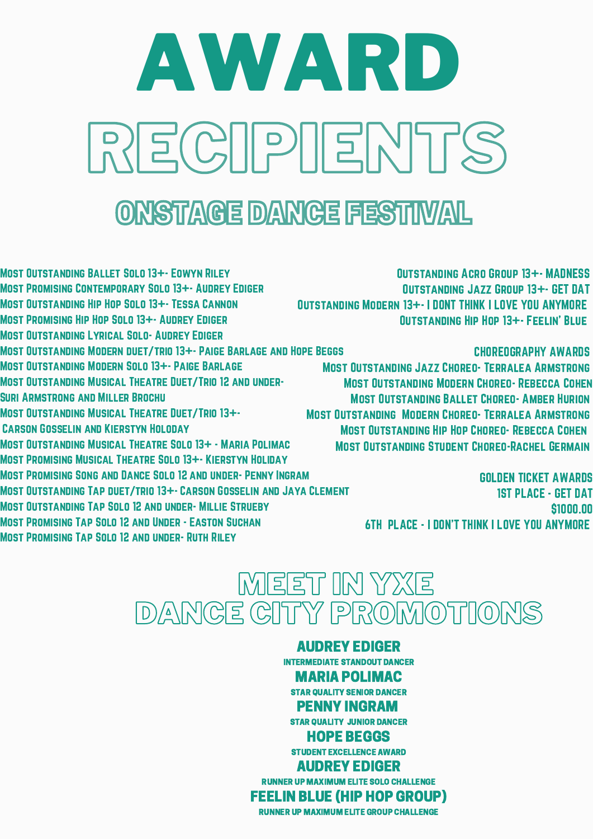## RECIPIENTS AWARD

## ONSTAGE DANCE FESTIWAL

Most Outstanding Ballet Solo 13+- Eowyn Riley Most Promising Contemporary Solo 13+- Audrey Ediger Most Outstanding Hip Hop Solo 13+- Tessa Cannon Most Promising Hip Hop Solo 13+- Audrey Ediger Most Outstanding Lyrical Solo- Audrey Ediger Most Outstanding Modern duet/trio 13+- Paige Barlage and Hope Beggs Most Outstanding Modern Solo 13+- Paige Barlage Most Outstanding Musical Theatre Duet/Trio 12 and under-Suri Armstrong and Miller Brochu Most Outstanding Musical Theatre Duet/Trio 13+- Carson Gosselin and Kierstyn Holoday Most Outstanding Musical Theatre Solo 13+ - Maria Polimac Most Promising Musical Theatre Solo 13+- Kierstyn Holiday Most Promising Song and Dance Solo 12 and under- Penny Ingram Most Outstanding Tap duet/trio 13+- Carson Gosselin and Jaya Clement Most Outstanding Tap Solo 12 and under- Millie Strueby

Most Promising Tap Solo 12 and Under - Easton Suchan

Most Promising Tap Solo 12 and under- Ruth Riley

Outstanding Acro Group 13+- MADNESS Outstanding Jazz Group 13+- GET DAT Outstanding Modern 13+- I DONT THINK I LOVE YOU ANYMORE Outstanding Hip Hop 13+- Feelin' Blue

CHOREOGRAPHY AWARDS

Most Outstanding Jazz Choreo- Terralea Armstrong Most Outstanding Modern Choreo- Rebecca Cohen Most Outstanding Ballet Choreo- Amber Hurion Most Outstanding Modern Choreo- Terralea Armstrong Most Outstanding Hip Hop Choreo- Rebecca Cohen Most Outstanding Student Choreo-Rachel Germain

> GOLDEN TICKET AWARDS 1ST PLACE - GET DAT \$1000.00 6TH PLACE - I DON'T THINK I LOVE YOU ANYMORE

## MEET IN YXE DANCE CITY PROMOTIONS

AUDREY EDIGER INTERMEDIATE STANDOUT DANCER MARIA POLIMAC STAR QUALITY SENIOR DANCER PENNY INGRAM STAR QUALITY JUNIOR DANCER HOPE BEGGS STUDENT EXCELLENCE AWARD AUDREY EDIGER RUNNER UP MAXIMUM ELITE SOLO CHALLENGE FEELIN BLUE (HIP HOP GROUP) RUNNER UP MAXIMUM ELITE GROUP CHALLENGE